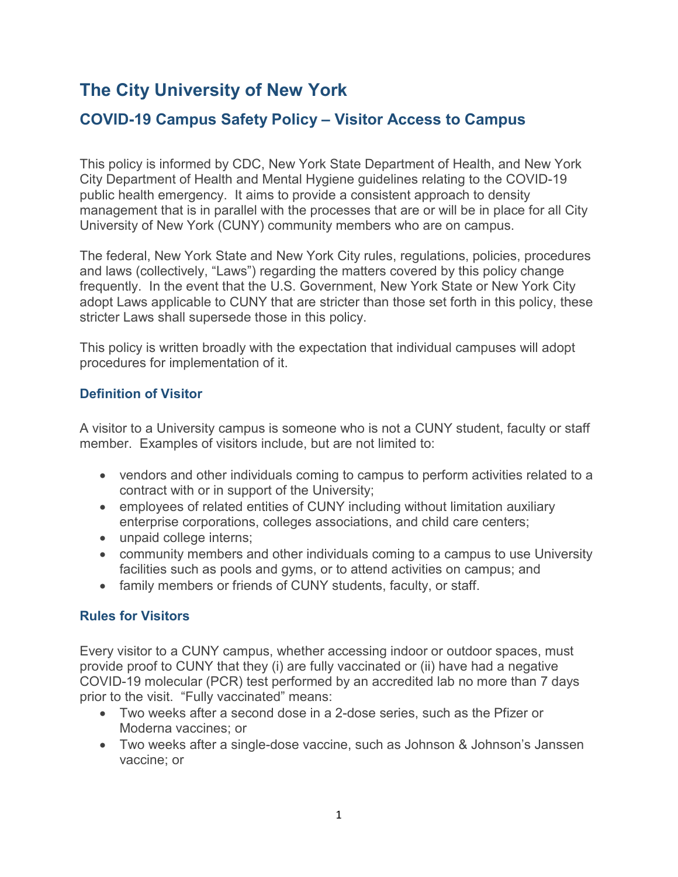# **The City University of New York**

## **COVID-19 Campus Safety Policy – Visitor Access to Campus**

This policy is informed by CDC, New York State Department of Health, and New York City Department of Health and Mental Hygiene guidelines relating to the COVID-19 public health emergency. It aims to provide a consistent approach to density management that is in parallel with the processes that are or will be in place for all City University of New York (CUNY) community members who are on campus.

The federal, New York State and New York City rules, regulations, policies, procedures and laws (collectively, "Laws") regarding the matters covered by this policy change frequently. In the event that the U.S. Government, New York State or New York City adopt Laws applicable to CUNY that are stricter than those set forth in this policy, these stricter Laws shall supersede those in this policy.

This policy is written broadly with the expectation that individual campuses will adopt procedures for implementation of it.

#### **Definition of Visitor**

A visitor to a University campus is someone who is not a CUNY student, faculty or staff member. Examples of visitors include, but are not limited to:

- vendors and other individuals coming to campus to perform activities related to a contract with or in support of the University;
- employees of related entities of CUNY including without limitation auxiliary enterprise corporations, colleges associations, and child care centers;
- unpaid college interns;
- community members and other individuals coming to a campus to use University facilities such as pools and gyms, or to attend activities on campus; and
- family members or friends of CUNY students, faculty, or staff.

### **Rules for Visitors**

Every visitor to a CUNY campus, whether accessing indoor or outdoor spaces, must provide proof to CUNY that they (i) are fully vaccinated or (ii) have had a negative COVID-19 molecular (PCR) test performed by an accredited lab no more than 7 days prior to the visit. "Fully vaccinated" means:

- Two weeks after a second dose in a 2-dose series, such as the Pfizer or Moderna vaccines; or
- Two weeks after a single-dose vaccine, such as Johnson & Johnson's Janssen vaccine; or